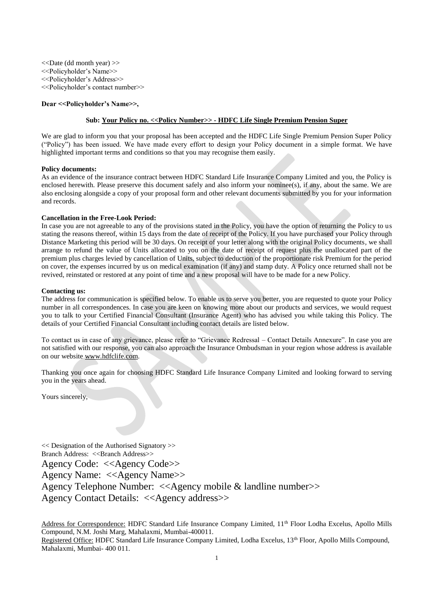<<Date (dd month year) >> <<Policyholder's Name>> <<Policyholder's Address>> <<Policyholder's contact number>>

# **Dear <<Policyholder's Name>>,**

# **Sub: Your Policy no. <<Policy Number>> - HDFC Life Single Premium Pension Super**

We are glad to inform you that your proposal has been accepted and the HDFC Life Single Premium Pension Super Policy ("Policy") has been issued. We have made every effort to design your Policy document in a simple format. We have highlighted important terms and conditions so that you may recognise them easily.

# **Policy documents:**

As an evidence of the insurance contract between HDFC Standard Life Insurance Company Limited and you, the Policy is enclosed herewith. Please preserve this document safely and also inform your nominee(s), if any, about the same. We are also enclosing alongside a copy of your proposal form and other relevant documents submitted by you for your information and records.

# **Cancellation in the Free-Look Period:**

In case you are not agreeable to any of the provisions stated in the Policy, you have the option of returning the Policy to us stating the reasons thereof, within 15 days from the date of receipt of the Policy. If you have purchased your Policy through Distance Marketing this period will be 30 days. On receipt of your letter along with the original Policy documents, we shall arrange to refund the value of Units allocated to you on the date of receipt of request plus the unallocated part of the premium plus charges levied by cancellation of Units, subject to deduction of the proportionate risk Premium for the period on cover, the expenses incurred by us on medical examination (if any) and stamp duty. A Policy once returned shall not be revived, reinstated or restored at any point of time and a new proposal will have to be made for a new Policy.

# **Contacting us:**

The address for communication is specified below. To enable us to serve you better, you are requested to quote your Policy number in all correspondences. In case you are keen on knowing more about our products and services, we would request you to talk to your Certified Financial Consultant (Insurance Agent) who has advised you while taking this Policy. The details of your Certified Financial Consultant including contact details are listed below.

To contact us in case of any grievance, please refer to "Grievance Redressal – Contact Details Annexure". In case you are not satisfied with our response, you can also approach the Insurance Ombudsman in your region whose address is available on our website www.hdfclife.com.

Thanking you once again for choosing HDFC Standard Life Insurance Company Limited and looking forward to serving you in the years ahead.

Yours sincerely,

<< Designation of the Authorised Signatory >> Branch Address: <<Br/>Shanch Address>> Agency Code: <<Agency Code>> Agency Name: <<Agency Name>> Agency Telephone Number: <<Agency mobile & landline number>> Agency Contact Details: <<Agency address>>

Address for Correspondence: HDFC Standard Life Insurance Company Limited, 11<sup>th</sup> Floor Lodha Excelus, Apollo Mills Compound, N.M. Joshi Marg, Mahalaxmi, Mumbai-400011. Registered Office: HDFC Standard Life Insurance Company Limited, Lodha Excelus, 13<sup>th</sup> Floor, Apollo Mills Compound, Mahalaxmi, Mumbai- 400 011.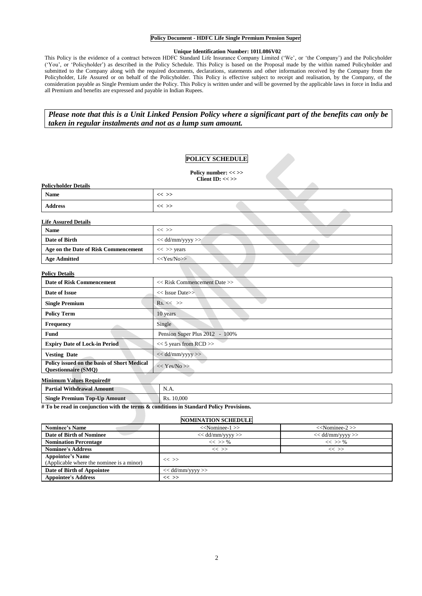## **Policy Document - HDFC Life Single Premium Pension Super**

## **Unique Identification Number: 101L086V02**

This Policy is the evidence of a contract between HDFC Standard Life Insurance Company Limited ('We', or 'the Company') and the Policyholder ('You', or 'Policyholder') as described in the Policy Schedule. This Policy is based on the Proposal made by the within named Policyholder and submitted to the Company along with the required documents, declarations, statements and other information received by the Company from the Policyholder, Life Assured or on behalf of the Policyholder. This Policy is effective subject to receipt and realisation, by the Company, of the consideration payable as Single Premium under the Policy. This Policy is written under and will be governed by the applicable laws in force in India and all Premium and benefits are expressed and payable in Indian Rupees.

*Please note that this is a Unit Linked Pension Policy where a significant part of the benefits can only be taken in regular instalments and not as a lump sum amount.*

# **POLICY SCHEDULE**

Policy number: << >> **Client ID: << >>**

| <b>Policyholder Details</b>                                                                   | $\frac{1}{2}$                                                   |
|-----------------------------------------------------------------------------------------------|-----------------------------------------------------------------|
| Name                                                                                          | $<<$ >>                                                         |
| <b>Address</b>                                                                                | $<<$ >>                                                         |
| <b>Life Assured Details</b>                                                                   |                                                                 |
| Name                                                                                          | $<<$ $>>$                                                       |
| Date of Birth                                                                                 | $<<$ dd/mm/yyyy >>                                              |
| Age on the Date of Risk Commencement                                                          | $<<$ >> years                                                   |
| <b>Age Admitted</b>                                                                           | $<<$ Yes/No>>                                                   |
| <b>Policy Details</b>                                                                         |                                                                 |
| $\mathbf{D}$ and $\mathbf{P}$ $\mathbf{D}$ and $\mathbf{D}$ and $\mathbf{D}$ and $\mathbf{D}$ | $\mathbf{r} \cdot \mathbf{n} \cdot \mathbf{1} \cdot \mathbf{C}$ |

| <b>Date of Risk Commencement</b>                                                 | $<<$ Risk Commencement Date $>>$ |  |
|----------------------------------------------------------------------------------|----------------------------------|--|
| Date of Issue                                                                    | $<<$ Issue Date>>                |  |
| <b>Single Premium</b>                                                            | $Rs. \ll \gg$                    |  |
| <b>Policy Term</b>                                                               | 10 years                         |  |
| <b>Frequency</b>                                                                 | Single                           |  |
| Fund                                                                             | Pension Super Plus 2012 - 100%   |  |
| <b>Expiry Date of Lock-in Period</b>                                             | $<< 5$ years from RCD $>>$       |  |
| <b>Vesting Date</b>                                                              | $<<$ dd/mm/yyyy>>                |  |
| <b>Policy issued on the basis of Short Medical</b><br><b>Ouestionnaire (SMO)</b> | << Yes/No>>                      |  |
| Minimum Values Required#                                                         |                                  |  |

| $\mathbf{r}$ $\mathbf{r}$ $\mathbf{r}$ and $\mathbf{r}$ and $\mathbf{r}$ |               |
|--------------------------------------------------------------------------|---------------|
| <b>Partial Withdrawal Amount</b>                                         | N<br>11.LL    |
| <b>Single Premium Top-Up Amount</b>                                      | 10,000<br>Rs. |

**# To be read in conjunction with the terms & conditions in Standard Policy Provisions.**

# **NOMINATION SCHEDULE**

| <b>Nominee's Name</b>                                                | $<<$ Nominee-1 $>>$  | $<<$ Nominee-2 $>>$ |  |  |
|----------------------------------------------------------------------|----------------------|---------------------|--|--|
| Date of Birth of Nominee                                             | $<<$ dd/mm/yyyy $>>$ | $<<$ dd/mm/yyyy >>  |  |  |
| <b>Nomination Percentage</b>                                         | $<<$ >> %            | $<<$ >> %           |  |  |
| <b>Nominee's Address</b>                                             | $<<$ $>>$            | $<<$ >>             |  |  |
| <b>Appointee's Name</b><br>(Applicable where the nominee is a minor) | $<<$ >>              |                     |  |  |
| Date of Birth of Appointee                                           | $<<$ dd/mm/yyyy $>>$ |                     |  |  |
| <b>Appointee's Address</b>                                           | $<<$ >>              |                     |  |  |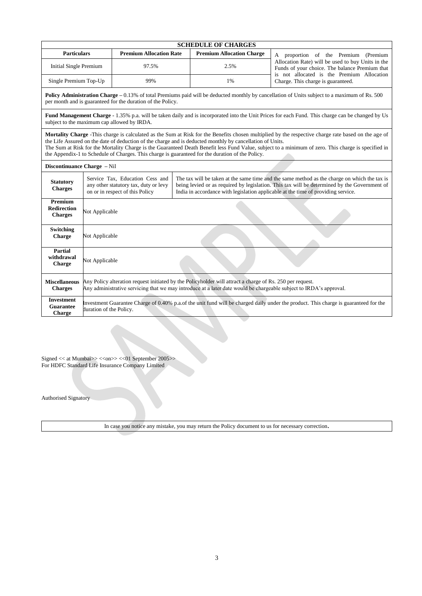|                                                                                                                                                                                                                                                                                                                                                                                                                                                                                                                             |                                                                                                                                                                                                                                                                                                                                                                                                  |                                                             |  | <b>SCHEDULE OF CHARGES</b>       |                                                                                                                                                                                                                                 |  |
|-----------------------------------------------------------------------------------------------------------------------------------------------------------------------------------------------------------------------------------------------------------------------------------------------------------------------------------------------------------------------------------------------------------------------------------------------------------------------------------------------------------------------------|--------------------------------------------------------------------------------------------------------------------------------------------------------------------------------------------------------------------------------------------------------------------------------------------------------------------------------------------------------------------------------------------------|-------------------------------------------------------------|--|----------------------------------|---------------------------------------------------------------------------------------------------------------------------------------------------------------------------------------------------------------------------------|--|
| <b>Particulars</b>                                                                                                                                                                                                                                                                                                                                                                                                                                                                                                          |                                                                                                                                                                                                                                                                                                                                                                                                  | <b>Premium Allocation Rate</b>                              |  | <b>Premium Allocation Charge</b> | A proportion of the Premium (Premium<br>Allocation Rate) will be used to buy Units in the<br>Funds of your choice. The balance Premium that<br>is not allocated is the Premium Allocation<br>Charge. This charge is guaranteed. |  |
| <b>Initial Single Premium</b>                                                                                                                                                                                                                                                                                                                                                                                                                                                                                               |                                                                                                                                                                                                                                                                                                                                                                                                  | 97.5%                                                       |  | 2.5%                             |                                                                                                                                                                                                                                 |  |
| Single Premium Top-Up                                                                                                                                                                                                                                                                                                                                                                                                                                                                                                       |                                                                                                                                                                                                                                                                                                                                                                                                  | 99%                                                         |  | 1%                               |                                                                                                                                                                                                                                 |  |
|                                                                                                                                                                                                                                                                                                                                                                                                                                                                                                                             |                                                                                                                                                                                                                                                                                                                                                                                                  | per month and is guaranteed for the duration of the Policy. |  |                                  | <b>Policy Administration Charge – 0.13%</b> of total Premiums paid will be deducted monthly by cancellation of Units subject to a maximum of Rs. 500                                                                            |  |
|                                                                                                                                                                                                                                                                                                                                                                                                                                                                                                                             |                                                                                                                                                                                                                                                                                                                                                                                                  | subject to the maximum cap allowed by IRDA.                 |  |                                  | Fund Management Charge - 1.35% p.a. will be taken daily and is incorporated into the Unit Prices for each Fund. This charge can be changed by Us                                                                                |  |
| Mortality Charge -This charge is calculated as the Sum at Risk for the Benefits chosen multiplied by the respective charge rate based on the age of<br>the Life Assured on the date of deduction of the charge and is deducted monthly by cancellation of Units.<br>The Sum at Risk for the Mortality Charge is the Guaranteed Death Benefit less Fund Value, subject to a minimum of zero. This charge is specified in<br>the Appendix-1 to Schedule of Charges. This charge is guaranteed for the duration of the Policy. |                                                                                                                                                                                                                                                                                                                                                                                                  |                                                             |  |                                  |                                                                                                                                                                                                                                 |  |
| Discontinuance Charge - Nil                                                                                                                                                                                                                                                                                                                                                                                                                                                                                                 |                                                                                                                                                                                                                                                                                                                                                                                                  |                                                             |  |                                  |                                                                                                                                                                                                                                 |  |
| <b>Statutory</b><br><b>Charges</b>                                                                                                                                                                                                                                                                                                                                                                                                                                                                                          | Service Tax, Education Cess and<br>The tax will be taken at the same time and the same method as the charge on which the tax is<br>any other statutory tax, duty or levy<br>being levied or as required by legislation. This tax will be determined by the Government of<br>on or in respect of this Policy<br>India in accordance with legislation applicable at the time of providing service. |                                                             |  |                                  |                                                                                                                                                                                                                                 |  |
| <b>Premium</b><br><b>Redirection</b><br><b>Charges</b>                                                                                                                                                                                                                                                                                                                                                                                                                                                                      | Not Applicable                                                                                                                                                                                                                                                                                                                                                                                   |                                                             |  |                                  |                                                                                                                                                                                                                                 |  |
| Switching<br><b>Charge</b>                                                                                                                                                                                                                                                                                                                                                                                                                                                                                                  | Not Applicable                                                                                                                                                                                                                                                                                                                                                                                   |                                                             |  |                                  |                                                                                                                                                                                                                                 |  |
| <b>Partial</b><br>withdrawal<br>Charge                                                                                                                                                                                                                                                                                                                                                                                                                                                                                      | Not Applicable                                                                                                                                                                                                                                                                                                                                                                                   |                                                             |  |                                  |                                                                                                                                                                                                                                 |  |
| <b>Miscellaneous</b><br><b>Charges</b>                                                                                                                                                                                                                                                                                                                                                                                                                                                                                      | Any Policy alteration request initiated by the Policyholder will attract a charge of Rs. 250 per request.<br>Any administrative servicing that we may introduce at a later date would be chargeable subject to IRDA's approval.                                                                                                                                                                  |                                                             |  |                                  |                                                                                                                                                                                                                                 |  |
| <b>Investment</b><br><b>Guarantee</b><br>Charge                                                                                                                                                                                                                                                                                                                                                                                                                                                                             | Investment Guarantee Charge of 0.40% p.a.of the unit fund will be charged daily under the product. This charge is guaranteed for the<br>duration of the Policy.                                                                                                                                                                                                                                  |                                                             |  |                                  |                                                                                                                                                                                                                                 |  |

Signed << at Mumbai>> <<on>> << 01 September 2005>> For HDFC Standard Life Insurance Company Limited

Authorised Signatory

In case you notice any mistake, you may return the Policy document to us for necessary correction**.**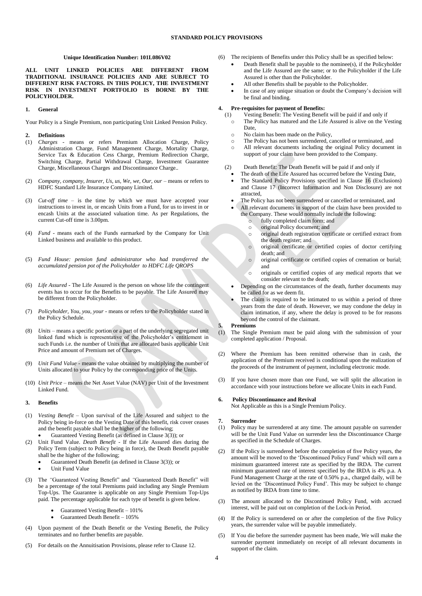## **Unique Identification Number: 101L086V02**

**ALL UNIT LINKED POLICIES ARE DIFFERENT FROM TRADITIONAL INSURANCE POLICIES AND ARE SUBJECT TO DIFFERENT RISK FACTORS. IN THIS POLICY, THE INVESTMENT RISK IN INVESTMENT PORTFOLIO IS BORNE BY THE POLICYHOLDER.**

#### **1. General**

Your Policy is a Single Premium, non participating Unit Linked Pension Policy.

- **2. Definitions**
- (1) *Charges -* means or refers Premium Allocation Charge, Policy Administration Charge, Fund Management Charge, Mortality Charge, Service Tax & Education Cess Charge, Premium Redirection Charge, Switching Charge, Partial Withdrawal Charge, Investment Guarantee Charge, Miscellaneous Charges and Discontinuance Charge..
- (2) *Company, company, Insurer, Us, us, We, we, Our, our* means or refers to HDFC Standard Life Insurance Company Limited.
- (3) *Cut-off time*  is the time by which we must have accepted your instructions to invest in, or encash Units from a Fund, for us to invest in or encash Units at the associated valuation time. As per Regulations, the current Cut-off time is 3.00pm.
- (4) *Fund*  means each of the Funds earmarked by the Company for Unit Linked business and available to this product.
- (5) *Fund House: pension fund administrator who had transferred the accumulated pension pot of the Policyholder to HDFC Life QROPS*
- (6) *Life Assured -* The Life Assured is the person on whose life the contingent events has to occur for the Benefits to be payable. The Life Assured may be different from the Policyholder.
- (7) *Policyholder, You, you, your*  means or refers to the Policyholder stated in the Policy Schedule.
- (8) *Units* means a specific portion or a part of the underlying segregated unit linked fund which is representative of the Policyholder's entitlement in such Funds i.e. the number of Units that are allocated basis applicable Unit Price and amount of Premium net of Charges.
- Unit Fund Value means the value obtained by multiplying the number of Units allocated to your Policy by the corresponding price of the Units.
- (10) *Unit Price* means the Net Asset Value (NAV) per Unit of the Investment Linked Fund.

#### **3. Benefits**

- (1) *Vesting Benefit –* Upon survival of the Life Assured and subject to the Policy being in-force on the Vesting Date of this benefit, risk cover ceases and the benefit payable shall be the higher of the following; Guaranteed Vesting Benefit (as defined in Clause 3(3)); or
- (2) Unit Fund Value. *Death Benefit* If the Life Assured dies during the Policy Term (subject to Policy being in force), the Death Benefit payable shall be the higher of the following;
	- Guaranteed Death Benefit (as defined in Clause 3(3)); or
	- Unit Fund Value
- (3) The *"*Guaranteed Vesting Benefit" and *"*Guaranteed Death Benefit" will be a percentage o*f* the total Premiums paid including any Single Premium Top-Ups. The Guarantee is applicable on any Single Premium Top-Ups paid. The percentage applicable for each type of benefit is given below.
	- Guaranteed Vesting Benefit 101%
	- Guaranteed Death Benefit 105%
- (4) Upon payment of the Death Benefit or the Vesting Benefit, the Policy terminates and no further benefits are payable.
- (5) For details on the Annuitisation Provisions, please refer to Clause 12.
- (6) The recipients of Benefits under this Policy shall be as specified below:
	- Death Benefit shall be payable to the nominee(s), if the Policyholder and the Life Assured are the same; or to the Policyholder if the Life Assured is other than the Policyholder.
	- All other Benefits shall be payable to the Policyholder.
	- In case of any unique situation or doubt the Company's decision will be final and binding.

#### **4. Pre-requisites for payment of Benefits:**

- (1) Vesting Benefit: The Vesting Benefit will be paid if and only if o The Policy has matured and the Life Assured is alive on the Vesting
	- Date,
	- o No claim has been made on the Policy,
	- o The Policy has not been surrendered, cancelled or terminated, and
	- o All relevant documents including the original Policy document in support of your claim have been provided to the Company.
- (2) Death Benefit: The Death Benefit will be paid if and only if
	- The death of the Life Assured has occurred before the Vesting Date,
	- The Standard Policy Provisions specified in Clause 16 (Exclusions) and Clause 17 (Incorrect Information and Non Disclosure) are not attracted,
	- The Policy has not been surrendered or cancelled or terminated, and
	- All relevant documents in support of the claim have been provided to the Company. These would normally include the following:<br>
	o fully completed claim form: and
		- fully completed claim form; and
		- o original Policy document; and
		- o original death registration certificate or certified extract from the death register; and
		- o original certificate or certified copies of doctor certifying death; and
		- o original certificate or certified copies of cremation or burial; and
		- o originals or certified copies of any medical reports that we consider relevant to the death;
	- Depending on the circumstances of the death, further documents may be called for as we deem fit.
	- The claim is required to be intimated to us within a period of three years from the date of death. However, we may condone the delay in claim intimation, if any, where the delay is proved to be for reasons beyond the control of the claimant.

#### **5. Premiums**

- (1) The Single Premium must be paid along with the submission of your completed application / Proposal.
- (2) Where the Premium has been remitted otherwise than in cash, the application of the Premium received is conditional upon the realization of the proceeds of the instrument of payment, including electronic mode.
- (3) If you have chosen more than one Fund, we will split the allocation in accordance with your instructions before we allocate Units in each Fund.

# **7. Surrender**

**6. Policy Discontinuance and Revival**

Not Applicable as this is a Single Premium Policy.

- (1) Policy may be surrendered at any time. The amount payable on surrender will be the Unit Fund Value on surrender less the Discontinuance Charge as specified in the Schedule of Charges.
- (2) If the Policy is surrendered before the completion of five Policy years, the amount will be moved to the 'Discontinued Policy Fund' which will earn a minimum guaranteed interest rate as specified by the IRDA. The current minimum guaranteed rate of interest specified by the IRDA is 4% p.a. A Fund Management Charge at the rate of 0.50% p.a., charged daily, will be levied on the 'Discontinued Policy Fund'. This may be subject to change as notified by IRDA from time to time.
- (3) The amount allocated to the Discontinued Policy Fund, with accrued interest, will be paid out on completion of the Lock-in Period.
- (4) If the Policy is surrendered on or after the completion of the five Policy years, the surrender value will be payable immediately.
- (5) If You die before the surrender payment has been made, We will make the surrender payment immediately on receipt of all relevant documents in support of the claim.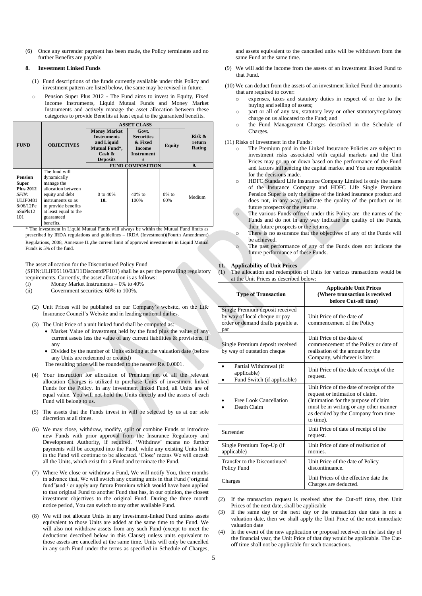(6) Once any surrender payment has been made, the Policy terminates and no further Benefits are payable.

#### **8. Investment Linked Funds**

- (1) Fund descriptions of the funds currently available under this Policy and investment pattern are listed below, the same may be revised in future.
- o Pension Super Plus 2012 The Fund aims to invest in Equity, Fixed Income Instruments, Liquid Mutual Funds and Money Market Instruments and actively manage the asset allocation between these categories to provide Benefits at least equal to the guaranteed benefits.

| <b>OBJECTIVES</b>                                                                                        | <b>Money Market</b><br><b>Instruments</b><br>and Liquid<br><b>Mutual Fund*,</b><br>$\operatorname{Cash}$ & | Govt.<br><b>Securities</b><br>& Fixed<br><b>Income</b><br>Instrument | <b>Equity</b>   | Risk $\&$<br>return   |
|----------------------------------------------------------------------------------------------------------|------------------------------------------------------------------------------------------------------------|----------------------------------------------------------------------|-----------------|-----------------------|
|                                                                                                          |                                                                                                            |                                                                      |                 |                       |
|                                                                                                          |                                                                                                            |                                                                      |                 |                       |
|                                                                                                          |                                                                                                            |                                                                      |                 |                       |
|                                                                                                          |                                                                                                            |                                                                      |                 | Rating                |
|                                                                                                          |                                                                                                            |                                                                      |                 |                       |
|                                                                                                          | <b>Deposits</b>                                                                                            | s                                                                    |                 |                       |
|                                                                                                          | <b>FUND COMPOSITION</b>                                                                                    | 9.                                                                   |                 |                       |
| The fund will<br>dynamically<br>manage the<br>allocation between<br>equity and debt<br>instruments so as | 0 to 40%<br>10.                                                                                            | $40%$ to<br>100%                                                     | $0\%$ to<br>60% | Medium                |
|                                                                                                          | to provide benefits                                                                                        |                                                                      |                 | at least equal to the |

\* The investment in Liquid Mutual Funds will always be within the Mutual Fund limits as prescribed by IRDA regulations and guidelines – IRDA (Investment)(Fourth Amendment)

Regulations, 2008, Annexure II.,the current limit of approved investments in Liquid Mutual Funds is 5% of the fund.

The asset allocation for the Discontinued Policy Fund

(SFIN:ULIF05110/03/11DiscontdPF101) shall be as per the prevailing regulatory requirements. Currently, the asset allocation is as follows:

- (i) Money Market Instruments 0% to 40%<br>
(ii) Government securities: 60% to 100%.
- Government securities: 60% to 100%.
- (2) Unit Prices will be published on our Company's website, on the Life Insurance Council's Website and in leading national dailies.
- (3) The Unit Price of a unit linked fund shall be computed as:
	- Market Value of investment held by the fund plus the value of any current assets less the value of any current liabilities & provisions, if any
	- Divided by the number of Units existing at the valuation date (before any Units are redeemed or created)

The resulting price will be rounded to the nearest Re. 0.0001.

- (4) Your instruction for allocation of Premium net of all the relevant allocation Charges is utilized to purchase Units of investment linked Funds for the Policy. In any investment linked Fund, all Units are of equal value. You will not hold the Units directly and the assets of each Fund will belong to us.
- (5) The assets that the Funds invest in will be selected by us at our sole discretion at all times.
- (6) We may close, withdraw, modify, split or combine Funds or introduce new Funds with prior approval from the Insurance Regulatory and Development Authority, if required. 'Withdraw' means no further payments will be accepted into the Fund, while any existing Units held in the Fund will continue to be allocated. 'Close' means We will encash all the Units, which exist for a Fund and terminate the Fund.
- (7) Where We close or withdraw a Fund, We will notify You, three months in advance that, We will switch any existing units in that Fund ('original fund')and / or apply any future Premium which would have been applied to that original Fund to another Fund that has, in our opinion, the closest investment objectives to the original Fund. During the three month notice period, You can switch to any other available Fund.
- (8) We will not allocate Units in any investment-linked Fund unless assets equivalent to those Units are added at the same time to the Fund. We will also not withdraw assets from any such Fund (except to meet the deductions described below in this Clause) unless units equivalent to those assets are cancelled at the same time. Units will only be cancelled in any such Fund under the terms as specified in Schedule of Charges,

and assets equivalent to the cancelled units will be withdrawn from the same Fund at the same time.

- (9) We will add the income from the assets of an investment linked Fund to that Fund.
- (10) We can deduct from the assets of an investment linked Fund the amounts that are required to cover:
	- expenses, taxes and statutory duties in respect of or due to the buying and selling of assets;
	- o part or all of any tax, statutory levy or other statutory/regulatory charge on us allocated to the Fund; and
	- o the Fund Management Charges described in the Schedule of Charges.

(11) Risks of Investment in the Funds:

- The Premium paid in the Linked Insurance Policies are subject to investment risks associated with capital markets and the Unit Prices may go up or down based on the performance of the Fund and factors influencing the capital market and You are responsible for the decisions made.
- o HDFC Standard Life Insurance Company Limited is only the name of the Insurance Company and HDFC Life Single Premium Pension Super is only the name of the linked insurance product and does not, in any way, indicate the quality of the product or its future prospects or the returns.
- The various Funds offered under this Policy are the names of the Funds and do not in any way indicate the quality of the Funds, their future prospects or the returns.
- o There is no assurance that the objectives of any of the Funds will be achieved.
- o The past performance of any of the Funds does not indicate the future performance of these Funds.

#### **11. Applicability of Unit Prices**

(1) The allocation and redemption of Units for various transactions would be at the Unit Prices as described below:

| <b>Type of Transaction</b>                                                                                   | <b>Applicable Unit Prices</b><br>(Where transaction is received<br>before Cut-off time)                                                                                                                           |  |  |
|--------------------------------------------------------------------------------------------------------------|-------------------------------------------------------------------------------------------------------------------------------------------------------------------------------------------------------------------|--|--|
| Single Premium deposit received<br>by way of local cheque or pay<br>order or demand drafts payable at<br>par | Unit Price of the date of<br>commencement of the Policy                                                                                                                                                           |  |  |
| Single Premium deposit received<br>by way of outstation cheque                                               | Unit Price of the date of<br>commencement of the Policy or date of<br>realisation of the amount by the<br>Company, whichever is later.                                                                            |  |  |
| Partial Withdrawal (if<br>applicable)<br>Fund Switch (if applicable)                                         | Unit Price of the date of receipt of the<br>request.                                                                                                                                                              |  |  |
| Free Look Cancellation<br>Death Claim                                                                        | Unit Price of the date of receipt of the<br>request or intimation of claim.<br>(Intimation for the purpose of claim<br>must be in writing or any other manner<br>as decided by the Company from time<br>to time). |  |  |
| Surrender                                                                                                    | Unit Price of date of receipt of the<br>request.                                                                                                                                                                  |  |  |
| Single Premium Top-Up (if<br>applicable)                                                                     | Unit Price of date of realisation of<br>monies.                                                                                                                                                                   |  |  |
| Transfer to the Discontinued<br>Policy Fund                                                                  | Unit Price of the date of Policy<br>discontinuance.                                                                                                                                                               |  |  |
| Charges                                                                                                      | Unit Prices of the effective date the<br>Charges are deducted.                                                                                                                                                    |  |  |

(2) If the transaction request is received after the Cut-off time, then Unit Prices of the next date, shall be applicable

(3) If the same day or the next day or the transaction due date is not a valuation date, then we shall apply the Unit Price of the next immediate valuation date

(4) In the event of the new application or proposal received on the last day of the financial year, the Unit Price of that day would be applicable. The Cutoff time shall not be applicable for such transactions.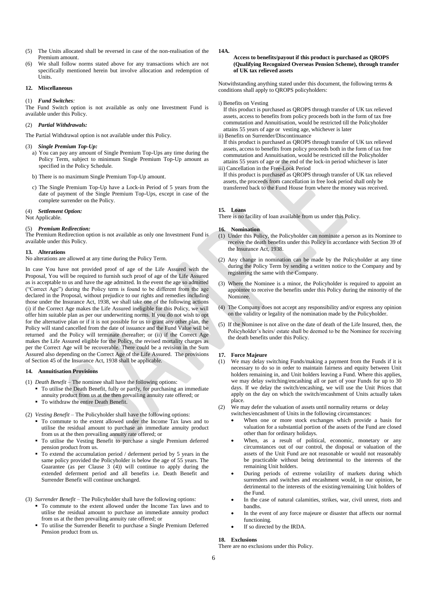- (5) The Units allocated shall be reversed in case of the non-realisation of the Premium amount.
- (6) We shall follow norms stated above for any transactions which are not specifically mentioned herein but involve allocation and redemption of Units.

#### **12. Miscellaneous**

#### (1) *Fund Switches:*

The Fund Switch option is not available as only one Investment Fund is available under this Policy.

#### (2) *Partial Withdrawals:*

The Partial Withdrawal option is not available under this Policy.

#### (3) *Single Premium Top-Up:*

- a) You can pay any amount of Single Premium Top-Ups any time during the Policy Term, subject to minimum Single Premium Top-Up amount as specified in the Policy Schedule.
- b) There is no maximum Single Premium Top-Up amount.
- c) The Single Premium Top-Up have a Lock-in Period of 5 years from the date of payment of the Single Premium Top-Ups, except in case of the complete surrender on the Policy.

#### (4) *Settlement Option:*

Not Applicable.

## (5) *Premium Redirection:*

The Premium Redirection option is not available as only one Investment Fund is available under this Policy.

# **13. Alterations**

No alterations are allowed at any time during the Policy Term.

In case You have not provided proof of age of the Life Assured with the Proposal, You will be required to furnish such proof of age of the Life Assured as is acceptable to us and have the age admitted. In the event the age so admitted ("Correct Age") during the Policy term is found to be different from the age declared in the Proposal, without prejudice to our rights and remedies including those under the Insurance Act, 1938, we shall take one of the following actions (i) if the Correct Age makes the Life Assured ineligible for this Policy, we will offer him suitable plan as per our underwriting norms. If you do not wish to opt for the alternative plan or if it is not possible for us to grant any other plan, the Policy will stand cancelled from the date of issuance and the Fund Value will be returned and the Policy will terminate thereafter; or (ii) if the Correct Age makes the Life Assured eligible for the Policy, the revised mortality charges as per the Correct Age will be recoverable. There could be a revision in the Sum Assured also depending on the Correct Age of the Life Assured. The provisions of Section 45 of the Insurance Act, 1938 shall be applicable.

# **14. Annuitisation Provisions**

- (1) *Death Benefit* The nominee shall have the following options:
	- To utilise the Death Benefit, fully or partly, for purchasing an immediate annuity product from us at the then prevailing annuity rate offered; or
	- To withdraw the entire Death Benefit.
- (2) *Vesting Benefit* The Policyholder shall have the following options:
	- To commute to the extent allowed under the Income Tax laws and to utilise the residual amount to purchase an immediate annuity product from us at the then prevailing annuity rate offered; or
	- To utilise the Vesting Benefit to purchase a single Premium deferred pension product from us.
	- To extend the accumulation period / deferment period by 5 years in the same policy provided the Policyholder is below the age of 55 years. The Guarantee (as per Clause 3 (4)) will continue to apply during the extended deferment period and all benefits i.e. Death Benefit and Surrender Benefit will continue unchanged.
- (3) *Surrender Benefit* The Policyholder shall have the following options:
	- To commute to the extent allowed under the Income Tax laws and to utilise the residual amount to purchase an immediate annuity product from us at the then prevailing annuity rate offered; or
	- To utilise the Surrender Benefit to purchase a Single Premium Deferred Pension product from us.

#### **14A.**

#### **Access to benefits/payout if this product is purchased as QROPS (Qualifying Recognized Overseas Pension Scheme), through transfer of UK tax relieved assets**

Notwithstanding anything stated under this document, the following terms & conditions shall apply to QROPS policyholders:

#### i) Benefits on Vesting

If this product is purchased as QROPS through transfer of UK tax relieved assets, access to benefits from policy proceeds both in the form of tax free commutation and Annuitisation, would be restricted till the Policyholder attains 55 years of age or vesting age, whichever is later

# ii) Benefits on Surrender/Discontinuance

If this product is purchased as QROPS through transfer of UK tax relieved assets, access to benefits from policy proceeds both in the form of tax free commutation and Annuitisation, would be restricted till the Policyholder attains 55 years of age or the end of the lock-in period whichever is later iii) Cancellation in the Free-Look Period

If this product is purchased as QROPS through transfer of UK tax relieved assets, the proceeds from cancellation in free look period shall only be transferred back to the Fund House from where the money was received.

#### **15. Loans**

There is no facility of loan available from us under this Policy.

#### **16. Nomination**

- (1) Under this Policy, the Policyholder can nominate a person as its Nominee to receive the death benefits under this Policy in accordance with Section 39 of the Insurance Act, 1938.
- (2) Any change in nomination can be made by the Policyholder at any time during the Policy Term by sending a written notice to the Company and by registering the same with the Company.
- (3) Where the Nominee is a minor, the Policyholder is required to appoint an appointee to receive the benefits under this Policy during the minority of the Nominee.
- (4) The Company does not accept any responsibility and/or express any opinion on the validity or legality of the nomination made by the Policyholder.
- (5) If the Nominee is not alive on the date of death of the Life Insured, then, the Policyholder's heirs/ estate shall be deemed to be the Nominee for receiving the death benefits under this Policy.

#### **17. Force Majeure**

- (1) We may delay switching Funds/making a payment from the Funds if it is necessary to do so in order to maintain fairness and equity between Unit holders remaining in, and Unit holders leaving a Fund. Where this applies, we may delay switching/encashing all or part of your Funds for up to 30 days. If we delay the switch/encashing, we will use the Unit Prices that apply on the day on which the switch/encashment of Units actually takes place.
- (2) We may defer the valuation of assets until normality returns or delay switches/encashment of Units in the following circumstances:
	- When one or more stock exchanges which provide a basis for valuation for a substantial portion of the assets of the Fund are closed other than for ordinary holidays.
	- When, as a result of political, economic, monetary or any circumstances out of our control, the disposal or valuation of the assets of the Unit Fund are not reasonable or would not reasonably be practicable without being detrimental to the interests of the remaining Unit holders.
	- During periods of extreme volatility of markets during which surrenders and switches and encashment would, in our opinion, be detrimental to the interests of the existing/remaining Unit holders of the Fund.
	- In the case of natural calamities, strikes, war, civil unrest, riots and bandhs.
	- In the event of any force majeure or disaster that affects our normal functioning.
	- If so directed by the IRDA.

#### **18. Exclusions**

There are no exclusions under this Policy.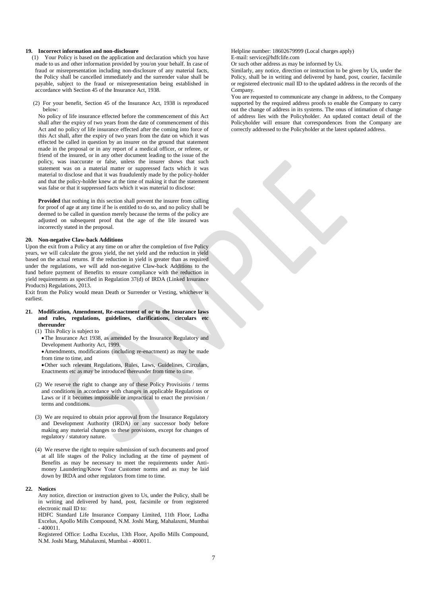#### **19. Incorrect information and non-disclosure**

- (1) Your Policy is based on the application and declaration which you have made to us and other information provided by you/on your behalf. In case of fraud or misrepresentation including non-disclosure of any material facts, the Policy shall be cancelled immediately and the surrender value shall be payable, subject to the fraud or misrepresentation being established in accordance with Section 45 of the Insurance Act, 1938.
- (2) For your benefit, Section 45 of the Insurance Act, 1938 is reproduced below:

No policy of life insurance effected before the commencement of this Act shall after the expiry of two years from the date of commencement of this Act and no policy of life insurance effected after the coming into force of this Act shall, after the expiry of two years from the date on which it was effected be called in question by an insurer on the ground that statement made in the proposal or in any report of a medical officer, or referee, or friend of the insured, or in any other document leading to the issue of the policy, was inaccurate or false, unless the insurer shows that such statement was on a material matter or suppressed facts which it was material to disclose and that it was fraudulently made by the policy-holder and that the policy-holder knew at the time of making it that the statement was false or that it suppressed facts which it was material to disclose:

**Provided** that nothing in this section shall prevent the insurer from calling for proof of age at any time if he is entitled to do so, and no policy shall be deemed to be called in question merely because the terms of the policy are adjusted on subsequent proof that the age of the life insured was incorrectly stated in the proposal.

## **20. Non-negative Claw-back Additions**

Upon the exit from a Policy at any time on or after the completion of five Policy years, we will calculate the gross yield, the net yield and the reduction in yield based on the actual returns. If the reduction in yield is greater than as required under the regulations, we will add non-negative Claw-back Additions to the fund before payment of Benefits to ensure compliance with the reduction in yield requirements as specified in Regulation 37(d) of IRDA (Linked Insurance Products) Regulations, 2013.

Exit from the Policy would mean Death or Surrender or Vesting, whichever is earliest.

#### **21. Modification, Amendment, Re-enactment of or to the Insurance laws and rules, regulations, guidelines, clarifications, circulars etc thereunder**

- (1) This Policy is subject to
	- The Insurance Act 1938, as amended by the Insurance Regulatory and Development Authority Act, 1999.
	- Amendments, modifications (including re-enactment) as may be made from time to time, and
	- Other such relevant Regulations, Rules, Laws, Guidelines, Circulars, Enactments etc as may be introduced thereunder from time to time.
- (2) We reserve the right to change any of these Policy Provisions / terms and conditions in accordance with changes in applicable Regulations or Laws or if it becomes impossible or impractical to enact the provision / terms and conditions.
- (3) We are required to obtain prior approval from the Insurance Regulatory and Development Authority (IRDA) or any successor body before making any material changes to these provisions, except for changes of regulatory / statutory nature.
- (4) We reserve the right to require submission of such documents and proof at all life stages of the Policy including at the time of payment of Benefits as may be necessary to meet the requirements under Antimoney Laundering/Know Your Customer norms and as may be laid down by IRDA and other regulators from time to time.

#### **22. Notices**

Any notice, direction or instruction given to Us, under the Policy, shall be in writing and delivered by hand, post, facsimile or from registered electronic mail ID to:

HDFC Standard Life Insurance Company Limited, 11th Floor, Lodha Excelus, Apollo Mills Compound, N.M. Joshi Marg, Mahalaxmi, Mumbai  $-400011$ 

Registered Office: Lodha Excelus, 13th Floor, Apollo Mills Compound, N.M. Joshi Marg, Mahalaxmi, Mumbai - 400011.

Helpline number: 18602679999 (Local charges apply) E-mail: service@hdfclife.com

Or such other address as may be informed by Us.

Similarly, any notice, direction or instruction to be given by Us, under the Policy, shall be in writing and delivered by hand, post, courier, facsimile or registered electronic mail ID to the updated address in the records of the Company.

You are requested to communicate any change in address, to the Company supported by the required address proofs to enable the Company to carry out the change of address in its systems. The onus of intimation of change of address lies with the Policyholder. An updated contact detail of the Policyholder will ensure that correspondences from the Company are correctly addressed to the Policyholder at the latest updated address.